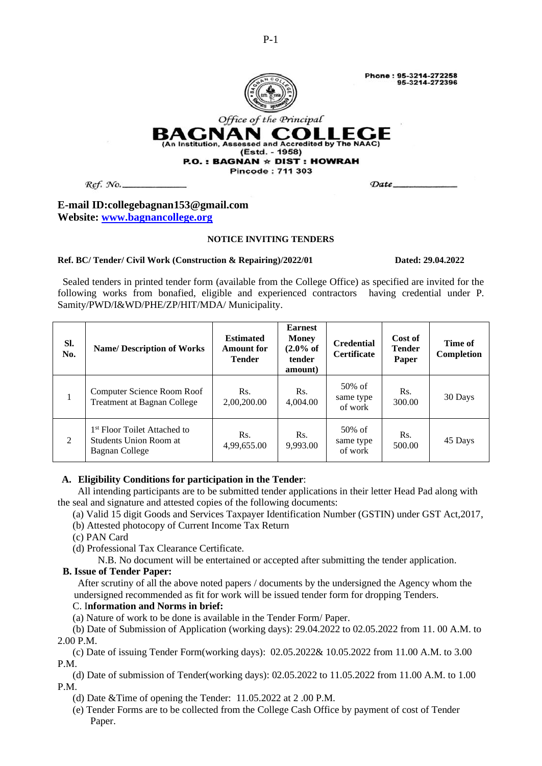

Date\_



Office of the Principal BAGNAN COLLEC (An Institution, Assessed and Accredited by The NAAC) (Estd. - 1958)

#### $P.O.$ : BAGNAN  $\star$  DIST : HOWRAH **Pincode: 711 303**

Ref. No.

## **E-mail ID:collegebagnan153@gmail.com Website: [www.bagnancollege.org](http://www.bagnancollege.org/)**

### **NOTICE INVITING TENDERS**

#### **Ref. BC/ Tender/ Civil Work (Construction & Repairing)/2022/01 Dated: 29.04.2022**

 Sealed tenders in printed tender form (available from the College Office) as specified are invited for the following works from bonafied, eligible and experienced contractors having credential under P. Samity/PWD/I&WD/PHE/ZP/HIT/MDA/ Municipality.

| SI.<br>No.   | <b>Name/Description of Works</b>                                                     | <b>Estimated</b><br><b>Amount for</b><br><b>Tender</b> | <b>Earnest</b><br><b>Money</b><br>$(2.0\% \text{ of }$<br>tender<br>amount) | <b>Credential</b><br><b>Certificate</b> | Cost of<br><b>Tender</b><br>Paper | Time of<br>Completion |
|--------------|--------------------------------------------------------------------------------------|--------------------------------------------------------|-----------------------------------------------------------------------------|-----------------------------------------|-----------------------------------|-----------------------|
| $\mathbf{1}$ | Computer Science Room Roof<br>Treatment at Bagnan College                            | Rs.<br>2,00,200.00                                     | Rs.<br>4,004.00                                                             | 50% of<br>same type<br>of work          | Rs.<br>300.00                     | 30 Days               |
| 2            | 1 <sup>st</sup> Floor Toilet Attached to<br>Students Union Room at<br>Bagnan College | Rs.<br>4,99,655.00                                     | Rs.<br>9,993.00                                                             | $50\%$ of<br>same type<br>of work       | Rs.<br>500.00                     | 45 Days               |

# **A. Eligibility Conditions for participation in the Tender**:

 All intending participants are to be submitted tender applications in their letter Head Pad along with the seal and signature and attested copies of the following documents:

- (a) Valid 15 digit Goods and Services Taxpayer Identification Number (GSTIN) under GST Act,2017,
- (b) Attested photocopy of Current Income Tax Return
- (c) PAN Card
- (d) Professional Tax Clearance Certificate.

N.B. No document will be entertained or accepted after submitting the tender application.

## **B. Issue of Tender Paper:**

 After scrutiny of all the above noted papers / documents by the undersigned the Agency whom the undersigned recommended as fit for work will be issued tender form for dropping Tenders.

# C. I**nformation and Norms in brief:**

(a) Nature of work to be done is available in the Tender Form/ Paper.

 (b) Date of Submission of Application (working days): 29.04.2022 to 02.05.2022 from 11. 00 A.M. to 2.00 P.M.

 (c) Date of issuing Tender Form(working days): 02.05.2022& 10.05.2022 from 11.00 A.M. to 3.00 P.M.

 (d) Date of submission of Tender(working days): 02.05.2022 to 11.05.2022 from 11.00 A.M. to 1.00 P.M.

- (d) Date &Time of opening the Tender: 11.05.2022 at 2 .00 P.M.
- (e) Tender Forms are to be collected from the College Cash Office by payment of cost of Tender Paper.

P-1